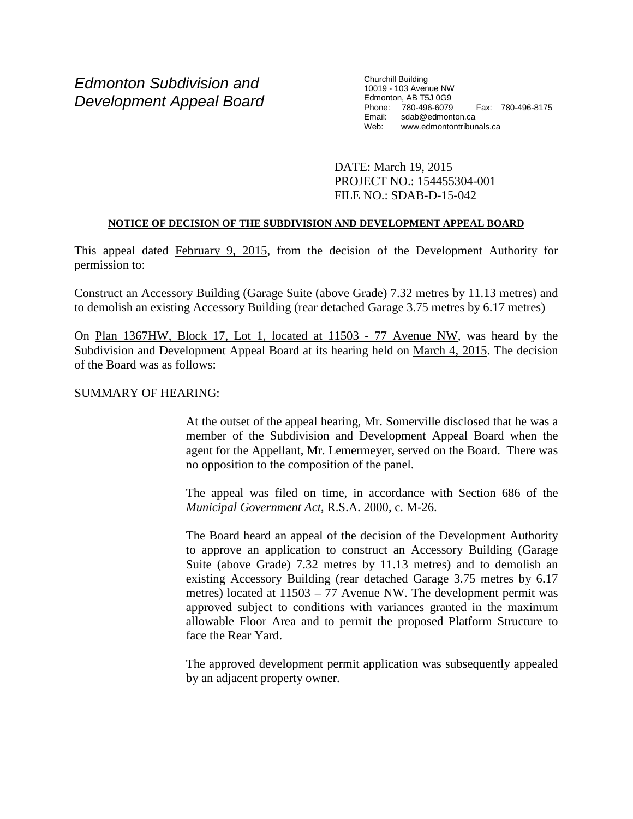# *Edmonton Subdivision and Development Appeal Board*

Churchill Building 10019 - 103 Avenue NW Edmonton, AB T5J 0G9 Phone: 780-496-6079 Fax: 780-496-8175 Email: sdab@edmonton.ca Web: www.edmontontribunals.ca

DATE: March 19, 2015 PROJECT NO.: 154455304-001 FILE NO.: SDAB-D-15-042

## **NOTICE OF DECISION OF THE SUBDIVISION AND DEVELOPMENT APPEAL BOARD**

This appeal dated February 9, 2015, from the decision of the Development Authority for permission to:

Construct an Accessory Building (Garage Suite (above Grade) 7.32 metres by 11.13 metres) and to demolish an existing Accessory Building (rear detached Garage 3.75 metres by 6.17 metres)

On Plan 1367HW, Block 17, Lot 1, located at 11503 - 77 Avenue NW, was heard by the Subdivision and Development Appeal Board at its hearing held on March 4, 2015. The decision of the Board was as follows:

# SUMMARY OF HEARING:

At the outset of the appeal hearing, Mr. Somerville disclosed that he was a member of the Subdivision and Development Appeal Board when the agent for the Appellant, Mr. Lemermeyer, served on the Board. There was no opposition to the composition of the panel.

The appeal was filed on time, in accordance with Section 686 of the *Municipal Government Act*, R.S.A. 2000, c. M-26.

The Board heard an appeal of the decision of the Development Authority to approve an application to construct an Accessory Building (Garage Suite (above Grade) 7.32 metres by 11.13 metres) and to demolish an existing Accessory Building (rear detached Garage 3.75 metres by 6.17 metres) located at 11503 – 77 Avenue NW. The development permit was approved subject to conditions with variances granted in the maximum allowable Floor Area and to permit the proposed Platform Structure to face the Rear Yard.

The approved development permit application was subsequently appealed by an adjacent property owner.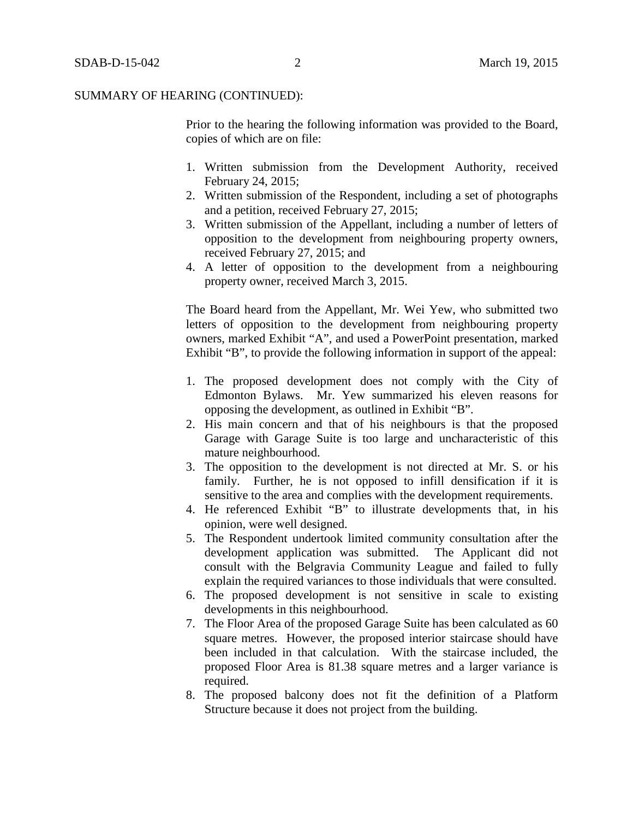Prior to the hearing the following information was provided to the Board, copies of which are on file:

- 1. Written submission from the Development Authority, received February 24, 2015;
- 2. Written submission of the Respondent, including a set of photographs and a petition, received February 27, 2015;
- 3. Written submission of the Appellant, including a number of letters of opposition to the development from neighbouring property owners, received February 27, 2015; and
- 4. A letter of opposition to the development from a neighbouring property owner, received March 3, 2015.

The Board heard from the Appellant, Mr. Wei Yew, who submitted two letters of opposition to the development from neighbouring property owners, marked Exhibit "A", and used a PowerPoint presentation, marked Exhibit "B", to provide the following information in support of the appeal:

- 1. The proposed development does not comply with the City of Edmonton Bylaws. Mr. Yew summarized his eleven reasons for opposing the development, as outlined in Exhibit "B".
- 2. His main concern and that of his neighbours is that the proposed Garage with Garage Suite is too large and uncharacteristic of this mature neighbourhood.
- 3. The opposition to the development is not directed at Mr. S. or his family. Further, he is not opposed to infill densification if it is sensitive to the area and complies with the development requirements.
- 4. He referenced Exhibit "B" to illustrate developments that, in his opinion, were well designed.
- 5. The Respondent undertook limited community consultation after the development application was submitted. The Applicant did not consult with the Belgravia Community League and failed to fully explain the required variances to those individuals that were consulted.
- 6. The proposed development is not sensitive in scale to existing developments in this neighbourhood.
- 7. The Floor Area of the proposed Garage Suite has been calculated as 60 square metres. However, the proposed interior staircase should have been included in that calculation. With the staircase included, the proposed Floor Area is 81.38 square metres and a larger variance is required.
- 8. The proposed balcony does not fit the definition of a Platform Structure because it does not project from the building.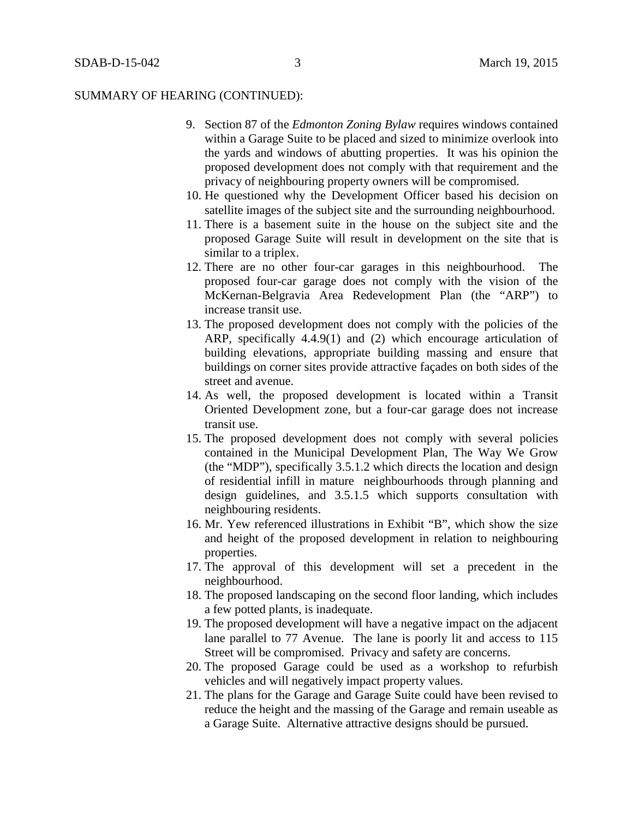- 9. Section 87 of the *Edmonton Zoning Bylaw* requires windows contained within a Garage Suite to be placed and sized to minimize overlook into the yards and windows of abutting properties. It was his opinion the proposed development does not comply with that requirement and the privacy of neighbouring property owners will be compromised.
- 10. He questioned why the Development Officer based his decision on satellite images of the subject site and the surrounding neighbourhood.
- 11. There is a basement suite in the house on the subject site and the proposed Garage Suite will result in development on the site that is similar to a triplex.
- 12. There are no other four-car garages in this neighbourhood. The proposed four-car garage does not comply with the vision of the McKernan-Belgravia Area Redevelopment Plan (the "ARP") to increase transit use.
- 13. The proposed development does not comply with the policies of the ARP, specifically 4.4.9(1) and (2) which encourage articulation of building elevations, appropriate building massing and ensure that buildings on corner sites provide attractive façades on both sides of the street and avenue.
- 14. As well, the proposed development is located within a Transit Oriented Development zone, but a four-car garage does not increase transit use.
- 15. The proposed development does not comply with several policies contained in the Municipal Development Plan, The Way We Grow (the "MDP"), specifically 3.5.1.2 which directs the location and design of residential infill in mature neighbourhoods through planning and design guidelines, and 3.5.1.5 which supports consultation with neighbouring residents.
- 16. Mr. Yew referenced illustrations in Exhibit "B", which show the size and height of the proposed development in relation to neighbouring properties.
- 17. The approval of this development will set a precedent in the neighbourhood.
- 18. The proposed landscaping on the second floor landing, which includes a few potted plants, is inadequate.
- 19. The proposed development will have a negative impact on the adjacent lane parallel to 77 Avenue. The lane is poorly lit and access to 115 Street will be compromised. Privacy and safety are concerns.
- 20. The proposed Garage could be used as a workshop to refurbish vehicles and will negatively impact property values.
- 21. The plans for the Garage and Garage Suite could have been revised to reduce the height and the massing of the Garage and remain useable as a Garage Suite. Alternative attractive designs should be pursued.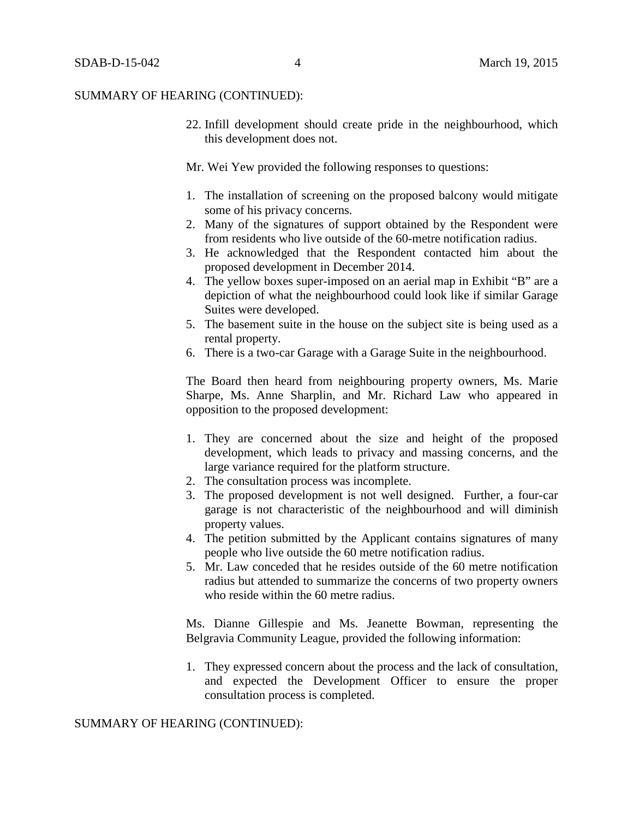22. Infill development should create pride in the neighbourhood, which this development does not.

Mr. Wei Yew provided the following responses to questions:

- 1. The installation of screening on the proposed balcony would mitigate some of his privacy concerns.
- 2. Many of the signatures of support obtained by the Respondent were from residents who live outside of the 60-metre notification radius.
- 3. He acknowledged that the Respondent contacted him about the proposed development in December 2014.
- 4. The yellow boxes super-imposed on an aerial map in Exhibit "B" are a depiction of what the neighbourhood could look like if similar Garage Suites were developed.
- 5. The basement suite in the house on the subject site is being used as a rental property.
- 6. There is a two-car Garage with a Garage Suite in the neighbourhood.

The Board then heard from neighbouring property owners, Ms. Marie Sharpe, Ms. Anne Sharplin, and Mr. Richard Law who appeared in opposition to the proposed development:

- 1. They are concerned about the size and height of the proposed development, which leads to privacy and massing concerns, and the large variance required for the platform structure.
- 2. The consultation process was incomplete.
- 3. The proposed development is not well designed. Further, a four-car garage is not characteristic of the neighbourhood and will diminish property values.
- 4. The petition submitted by the Applicant contains signatures of many people who live outside the 60 metre notification radius.
- 5. Mr. Law conceded that he resides outside of the 60 metre notification radius but attended to summarize the concerns of two property owners who reside within the 60 metre radius.

Ms. Dianne Gillespie and Ms. Jeanette Bowman, representing the Belgravia Community League, provided the following information:

1. They expressed concern about the process and the lack of consultation, and expected the Development Officer to ensure the proper consultation process is completed.

SUMMARY OF HEARING (CONTINUED):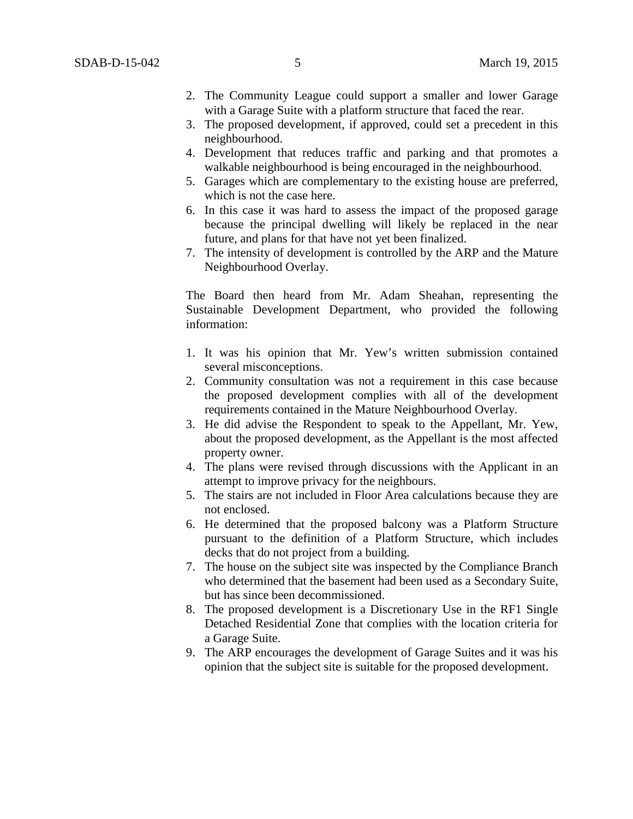- 2. The Community League could support a smaller and lower Garage with a Garage Suite with a platform structure that faced the rear.
- 3. The proposed development, if approved, could set a precedent in this neighbourhood.
- 4. Development that reduces traffic and parking and that promotes a walkable neighbourhood is being encouraged in the neighbourhood.
- 5. Garages which are complementary to the existing house are preferred, which is not the case here.
- 6. In this case it was hard to assess the impact of the proposed garage because the principal dwelling will likely be replaced in the near future, and plans for that have not yet been finalized.
- 7. The intensity of development is controlled by the ARP and the Mature Neighbourhood Overlay.

The Board then heard from Mr. Adam Sheahan, representing the Sustainable Development Department, who provided the following information:

- 1. It was his opinion that Mr. Yew's written submission contained several misconceptions.
- 2. Community consultation was not a requirement in this case because the proposed development complies with all of the development requirements contained in the Mature Neighbourhood Overlay.
- 3. He did advise the Respondent to speak to the Appellant, Mr. Yew, about the proposed development, as the Appellant is the most affected property owner.
- 4. The plans were revised through discussions with the Applicant in an attempt to improve privacy for the neighbours.
- 5. The stairs are not included in Floor Area calculations because they are not enclosed.
- 6. He determined that the proposed balcony was a Platform Structure pursuant to the definition of a Platform Structure, which includes decks that do not project from a building.
- 7. The house on the subject site was inspected by the Compliance Branch who determined that the basement had been used as a Secondary Suite, but has since been decommissioned.
- 8. The proposed development is a Discretionary Use in the RF1 Single Detached Residential Zone that complies with the location criteria for a Garage Suite.
- 9. The ARP encourages the development of Garage Suites and it was his opinion that the subject site is suitable for the proposed development.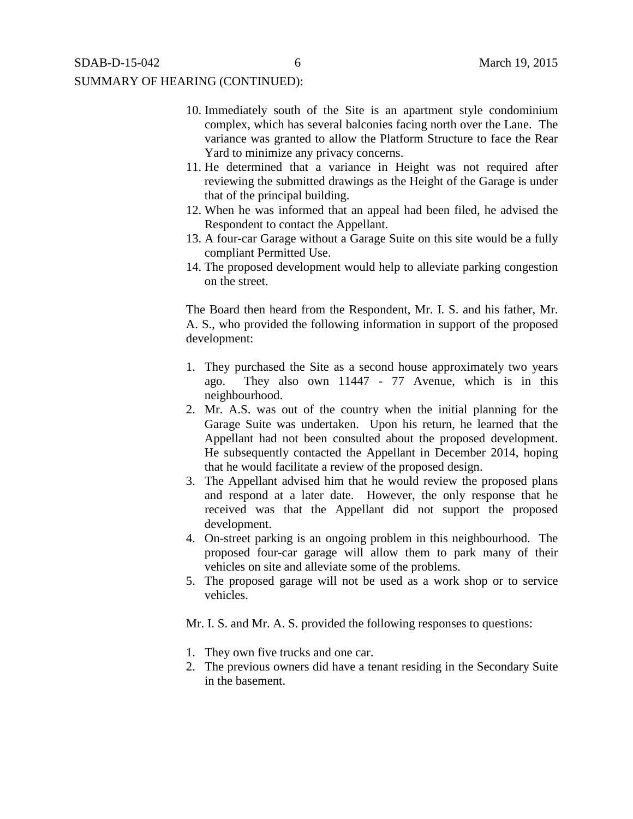- 10. Immediately south of the Site is an apartment style condominium complex, which has several balconies facing north over the Lane. The variance was granted to allow the Platform Structure to face the Rear Yard to minimize any privacy concerns.
- 11. He determined that a variance in Height was not required after reviewing the submitted drawings as the Height of the Garage is under that of the principal building.
- 12. When he was informed that an appeal had been filed, he advised the Respondent to contact the Appellant.
- 13. A four-car Garage without a Garage Suite on this site would be a fully compliant Permitted Use.
- 14. The proposed development would help to alleviate parking congestion on the street.

The Board then heard from the Respondent, Mr. I. S. and his father, Mr. A. S., who provided the following information in support of the proposed development:

- 1. They purchased the Site as a second house approximately two years ago. They also own 11447 - 77 Avenue, which is in this neighbourhood.
- 2. Mr. A.S. was out of the country when the initial planning for the Garage Suite was undertaken. Upon his return, he learned that the Appellant had not been consulted about the proposed development. He subsequently contacted the Appellant in December 2014, hoping that he would facilitate a review of the proposed design.
- 3. The Appellant advised him that he would review the proposed plans and respond at a later date. However, the only response that he received was that the Appellant did not support the proposed development.
- 4. On-street parking is an ongoing problem in this neighbourhood. The proposed four-car garage will allow them to park many of their vehicles on site and alleviate some of the problems.
- 5. The proposed garage will not be used as a work shop or to service vehicles.

Mr. I. S. and Mr. A. S. provided the following responses to questions:

- 1. They own five trucks and one car.
- 2. The previous owners did have a tenant residing in the Secondary Suite in the basement.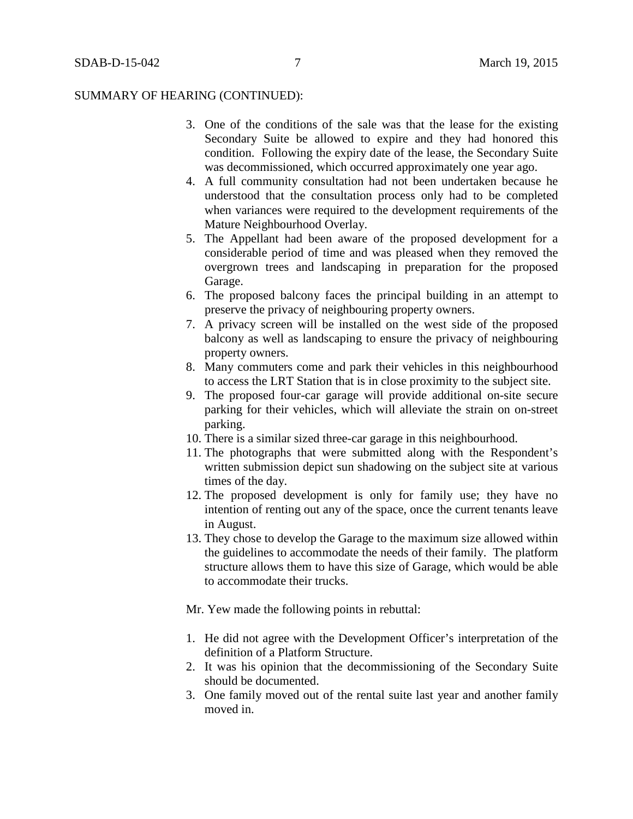- 3. One of the conditions of the sale was that the lease for the existing Secondary Suite be allowed to expire and they had honored this condition. Following the expiry date of the lease, the Secondary Suite was decommissioned, which occurred approximately one year ago.
- 4. A full community consultation had not been undertaken because he understood that the consultation process only had to be completed when variances were required to the development requirements of the Mature Neighbourhood Overlay.
- 5. The Appellant had been aware of the proposed development for a considerable period of time and was pleased when they removed the overgrown trees and landscaping in preparation for the proposed Garage.
- 6. The proposed balcony faces the principal building in an attempt to preserve the privacy of neighbouring property owners.
- 7. A privacy screen will be installed on the west side of the proposed balcony as well as landscaping to ensure the privacy of neighbouring property owners.
- 8. Many commuters come and park their vehicles in this neighbourhood to access the LRT Station that is in close proximity to the subject site.
- 9. The proposed four-car garage will provide additional on-site secure parking for their vehicles, which will alleviate the strain on on-street parking.
- 10. There is a similar sized three-car garage in this neighbourhood.
- 11. The photographs that were submitted along with the Respondent's written submission depict sun shadowing on the subject site at various times of the day.
- 12. The proposed development is only for family use; they have no intention of renting out any of the space, once the current tenants leave in August.
- 13. They chose to develop the Garage to the maximum size allowed within the guidelines to accommodate the needs of their family. The platform structure allows them to have this size of Garage, which would be able to accommodate their trucks.

Mr. Yew made the following points in rebuttal:

- 1. He did not agree with the Development Officer's interpretation of the definition of a Platform Structure.
- 2. It was his opinion that the decommissioning of the Secondary Suite should be documented.
- 3. One family moved out of the rental suite last year and another family moved in.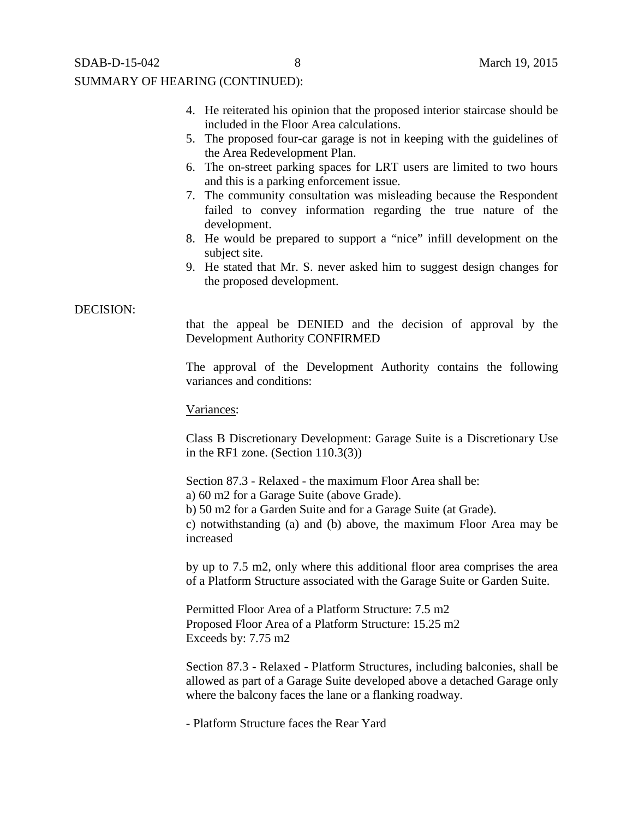- 4. He reiterated his opinion that the proposed interior staircase should be included in the Floor Area calculations.
- 5. The proposed four-car garage is not in keeping with the guidelines of the Area Redevelopment Plan.
- 6. The on-street parking spaces for LRT users are limited to two hours and this is a parking enforcement issue.
- 7. The community consultation was misleading because the Respondent failed to convey information regarding the true nature of the development.
- 8. He would be prepared to support a "nice" infill development on the subject site.
- 9. He stated that Mr. S. never asked him to suggest design changes for the proposed development.

## DECISION:

that the appeal be DENIED and the decision of approval by the Development Authority CONFIRMED

The approval of the Development Authority contains the following variances and conditions:

## Variances:

Class B Discretionary Development: Garage Suite is a Discretionary Use in the RF1 zone. (Section  $110.3(3)$ )

Section 87.3 - Relaxed - the maximum Floor Area shall be:

a) 60 m2 for a Garage Suite (above Grade).

b) 50 m2 for a Garden Suite and for a Garage Suite (at Grade).

c) notwithstanding (a) and (b) above, the maximum Floor Area may be increased

by up to 7.5 m2, only where this additional floor area comprises the area of a Platform Structure associated with the Garage Suite or Garden Suite.

Permitted Floor Area of a Platform Structure: 7.5 m2 Proposed Floor Area of a Platform Structure: 15.25 m2 Exceeds by: 7.75 m2

Section 87.3 - Relaxed - Platform Structures, including balconies, shall be allowed as part of a Garage Suite developed above a detached Garage only where the balcony faces the lane or a flanking roadway.

- Platform Structure faces the Rear Yard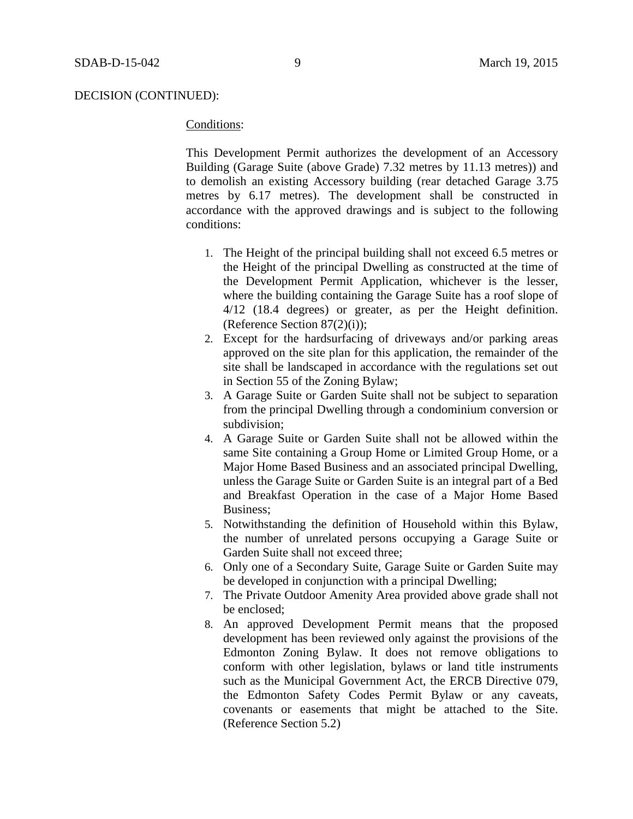## DECISION (CONTINUED):

# Conditions:

This Development Permit authorizes the development of an Accessory Building (Garage Suite (above Grade) 7.32 metres by 11.13 metres)) and to demolish an existing Accessory building (rear detached Garage 3.75 metres by 6.17 metres). The development shall be constructed in accordance with the approved drawings and is subject to the following conditions:

- 1. The Height of the principal building shall not exceed 6.5 metres or the Height of the principal Dwelling as constructed at the time of the Development Permit Application, whichever is the lesser, where the building containing the Garage Suite has a roof slope of 4/12 (18.4 degrees) or greater, as per the Height definition. (Reference Section 87(2)(i));
- 2. Except for the hardsurfacing of driveways and/or parking areas approved on the site plan for this application, the remainder of the site shall be landscaped in accordance with the regulations set out in Section 55 of the Zoning Bylaw;
- 3. A Garage Suite or Garden Suite shall not be subject to separation from the principal Dwelling through a condominium conversion or subdivision;
- 4. A Garage Suite or Garden Suite shall not be allowed within the same Site containing a Group Home or Limited Group Home, or a Major Home Based Business and an associated principal Dwelling, unless the Garage Suite or Garden Suite is an integral part of a Bed and Breakfast Operation in the case of a Major Home Based Business;
- 5. Notwithstanding the definition of Household within this Bylaw, the number of unrelated persons occupying a Garage Suite or Garden Suite shall not exceed three;
- 6. Only one of a Secondary Suite, Garage Suite or Garden Suite may be developed in conjunction with a principal Dwelling;
- 7. The Private Outdoor Amenity Area provided above grade shall not be enclosed;
- 8. An approved Development Permit means that the proposed development has been reviewed only against the provisions of the Edmonton Zoning Bylaw. It does not remove obligations to conform with other legislation, bylaws or land title instruments such as the Municipal Government Act, the ERCB Directive 079, the Edmonton Safety Codes Permit Bylaw or any caveats, covenants or easements that might be attached to the Site. (Reference Section 5.2)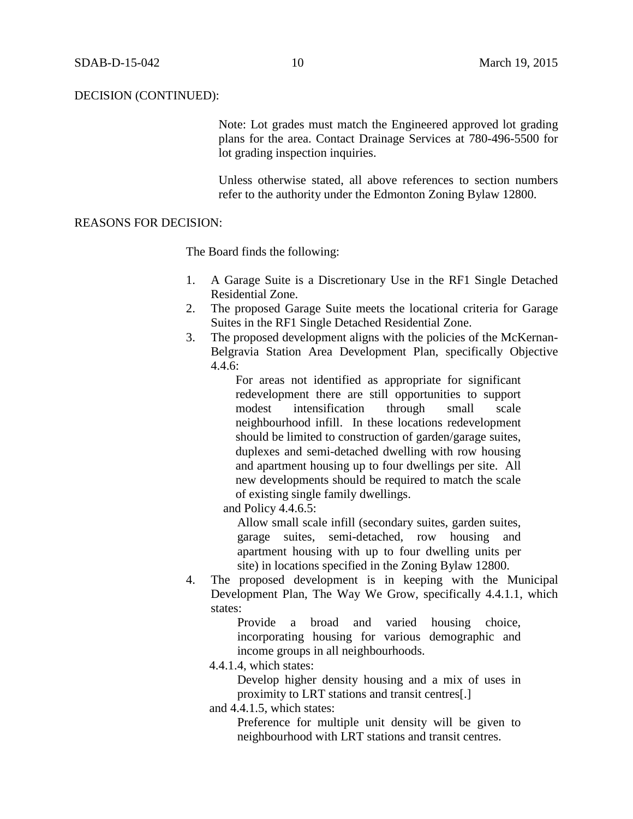## DECISION (CONTINUED):

Note: Lot grades must match the Engineered approved lot grading plans for the area. Contact Drainage Services at 780-496-5500 for lot grading inspection inquiries.

Unless otherwise stated, all above references to section numbers refer to the authority under the Edmonton Zoning Bylaw 12800.

# REASONS FOR DECISION:

The Board finds the following:

- 1. A Garage Suite is a Discretionary Use in the RF1 Single Detached Residential Zone.
- 2. The proposed Garage Suite meets the locational criteria for Garage Suites in the RF1 Single Detached Residential Zone.
- 3. The proposed development aligns with the policies of the McKernan-Belgravia Station Area Development Plan, specifically Objective  $4.4.6:$

For areas not identified as appropriate for significant redevelopment there are still opportunities to support modest intensification through small scale neighbourhood infill. In these locations redevelopment should be limited to construction of garden/garage suites, duplexes and semi-detached dwelling with row housing and apartment housing up to four dwellings per site. All new developments should be required to match the scale of existing single family dwellings.

and Policy 4.4.6.5:

Allow small scale infill (secondary suites, garden suites, garage suites, semi-detached, row housing and apartment housing with up to four dwelling units per site) in locations specified in the Zoning Bylaw 12800.

4. The proposed development is in keeping with the Municipal Development Plan, The Way We Grow, specifically 4.4.1.1, which states:

> Provide a broad and varied housing choice, incorporating housing for various demographic and income groups in all neighbourhoods.

4.4.1.4, which states:

Develop higher density housing and a mix of uses in proximity to LRT stations and transit centres[.]

and 4.4.1.5, which states:

Preference for multiple unit density will be given to neighbourhood with LRT stations and transit centres.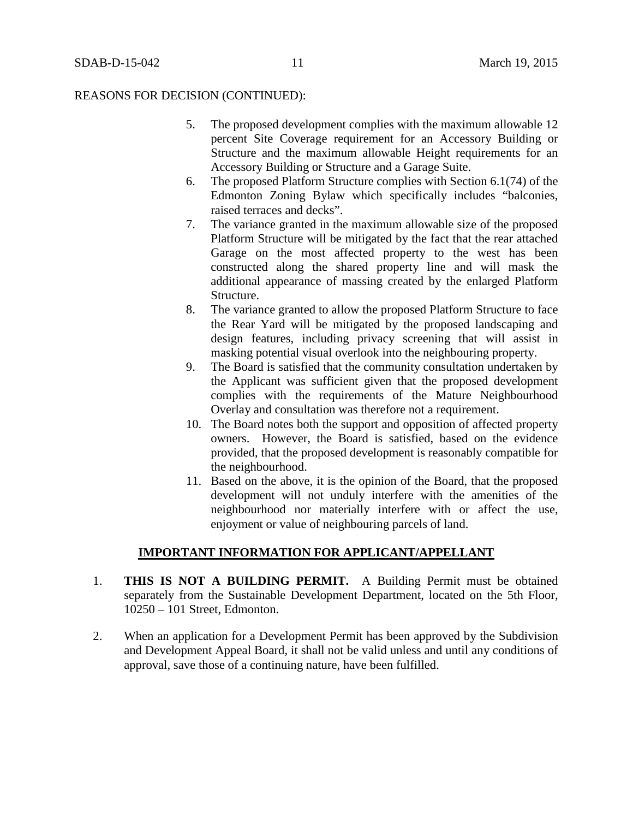## REASONS FOR DECISION (CONTINUED):

- 5. The proposed development complies with the maximum allowable 12 percent Site Coverage requirement for an Accessory Building or Structure and the maximum allowable Height requirements for an Accessory Building or Structure and a Garage Suite.
- 6. The proposed Platform Structure complies with Section 6.1(74) of the Edmonton Zoning Bylaw which specifically includes "balconies, raised terraces and decks".
- 7. The variance granted in the maximum allowable size of the proposed Platform Structure will be mitigated by the fact that the rear attached Garage on the most affected property to the west has been constructed along the shared property line and will mask the additional appearance of massing created by the enlarged Platform Structure.
- 8. The variance granted to allow the proposed Platform Structure to face the Rear Yard will be mitigated by the proposed landscaping and design features, including privacy screening that will assist in masking potential visual overlook into the neighbouring property.
- 9. The Board is satisfied that the community consultation undertaken by the Applicant was sufficient given that the proposed development complies with the requirements of the Mature Neighbourhood Overlay and consultation was therefore not a requirement.
- 10. The Board notes both the support and opposition of affected property owners. However, the Board is satisfied, based on the evidence provided, that the proposed development is reasonably compatible for the neighbourhood.
- 11. Based on the above, it is the opinion of the Board, that the proposed development will not unduly interfere with the amenities of the neighbourhood nor materially interfere with or affect the use, enjoyment or value of neighbouring parcels of land.

## **IMPORTANT INFORMATION FOR APPLICANT/APPELLANT**

- 1. **THIS IS NOT A BUILDING PERMIT.** A Building Permit must be obtained separately from the Sustainable Development Department, located on the 5th Floor, 10250 – 101 Street, Edmonton.
- 2. When an application for a Development Permit has been approved by the Subdivision and Development Appeal Board, it shall not be valid unless and until any conditions of approval, save those of a continuing nature, have been fulfilled.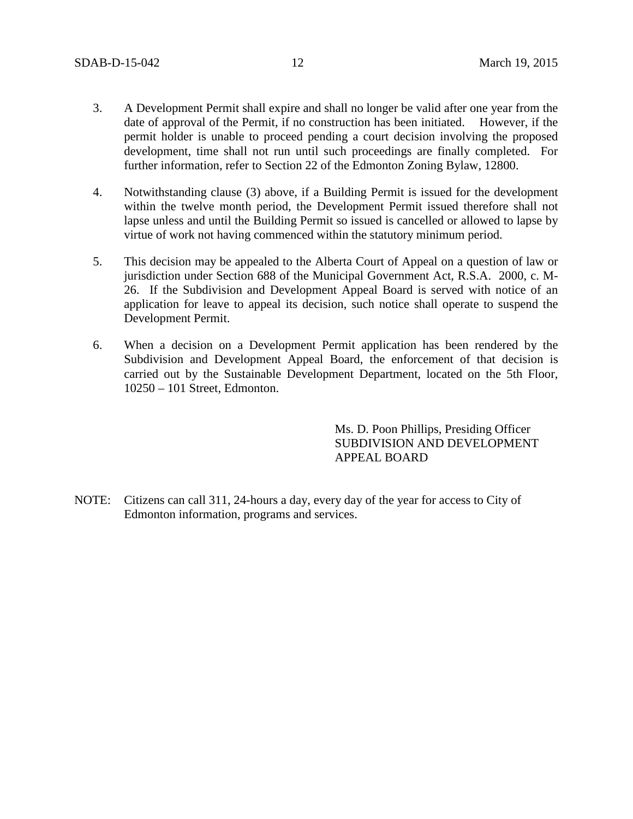- 3. A Development Permit shall expire and shall no longer be valid after one year from the date of approval of the Permit, if no construction has been initiated. However, if the permit holder is unable to proceed pending a court decision involving the proposed development, time shall not run until such proceedings are finally completed. For further information, refer to Section 22 of the Edmonton Zoning Bylaw, 12800.
- 4. Notwithstanding clause (3) above, if a Building Permit is issued for the development within the twelve month period, the Development Permit issued therefore shall not lapse unless and until the Building Permit so issued is cancelled or allowed to lapse by virtue of work not having commenced within the statutory minimum period.
- 5. This decision may be appealed to the Alberta Court of Appeal on a question of law or jurisdiction under Section 688 of the Municipal Government Act, R.S.A. 2000, c. M-26. If the Subdivision and Development Appeal Board is served with notice of an application for leave to appeal its decision, such notice shall operate to suspend the Development Permit.
- 6. When a decision on a Development Permit application has been rendered by the Subdivision and Development Appeal Board, the enforcement of that decision is carried out by the Sustainable Development Department, located on the 5th Floor, 10250 – 101 Street, Edmonton.

Ms. D. Poon Phillips, Presiding Officer SUBDIVISION AND DEVELOPMENT APPEAL BOARD

NOTE: Citizens can call 311, 24-hours a day, every day of the year for access to City of Edmonton information, programs and services.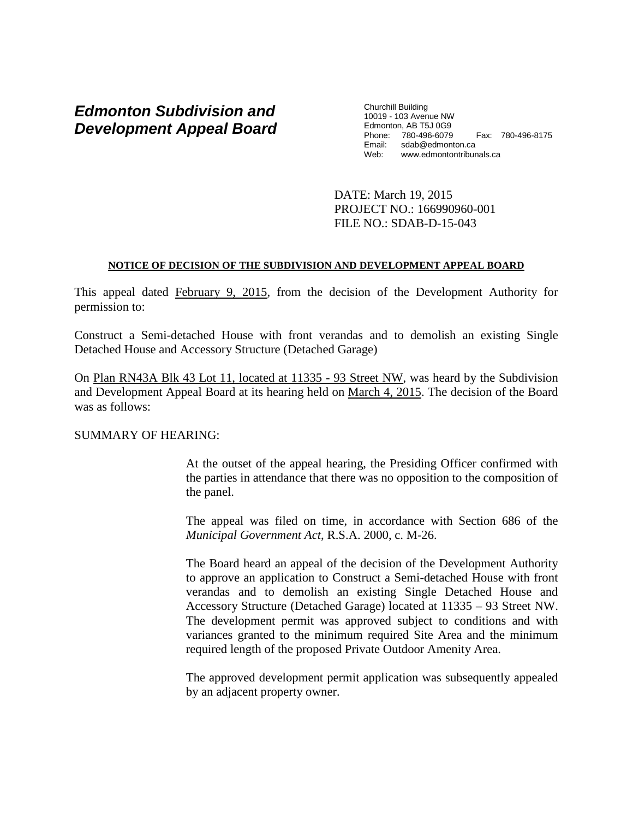# *Edmonton Subdivision and Development Appeal Board*

Churchill Building 10019 - 103 Avenue NW Edmonton, AB T5J 0G9 Phone: 780-496-6079 Fax: 780-496-8175 Email: sdab@edmonton.ca<br>Web: www.edmontontribur www.edmontontribunals.ca

DATE: March 19, 2015 PROJECT NO.: 166990960-001 FILE NO.: SDAB-D-15-043

## **NOTICE OF DECISION OF THE SUBDIVISION AND DEVELOPMENT APPEAL BOARD**

This appeal dated February 9, 2015, from the decision of the Development Authority for permission to:

Construct a Semi-detached House with front verandas and to demolish an existing Single Detached House and Accessory Structure (Detached Garage)

On Plan RN43A Blk 43 Lot 11, located at 11335 - 93 Street NW, was heard by the Subdivision and Development Appeal Board at its hearing held on March 4, 2015. The decision of the Board was as follows:

# SUMMARY OF HEARING:

At the outset of the appeal hearing, the Presiding Officer confirmed with the parties in attendance that there was no opposition to the composition of the panel.

The appeal was filed on time, in accordance with Section 686 of the *Municipal Government Act*, R.S.A. 2000, c. M-26.

The Board heard an appeal of the decision of the Development Authority to approve an application to Construct a Semi-detached House with front verandas and to demolish an existing Single Detached House and Accessory Structure (Detached Garage) located at 11335 – 93 Street NW. The development permit was approved subject to conditions and with variances granted to the minimum required Site Area and the minimum required length of the proposed Private Outdoor Amenity Area.

The approved development permit application was subsequently appealed by an adjacent property owner.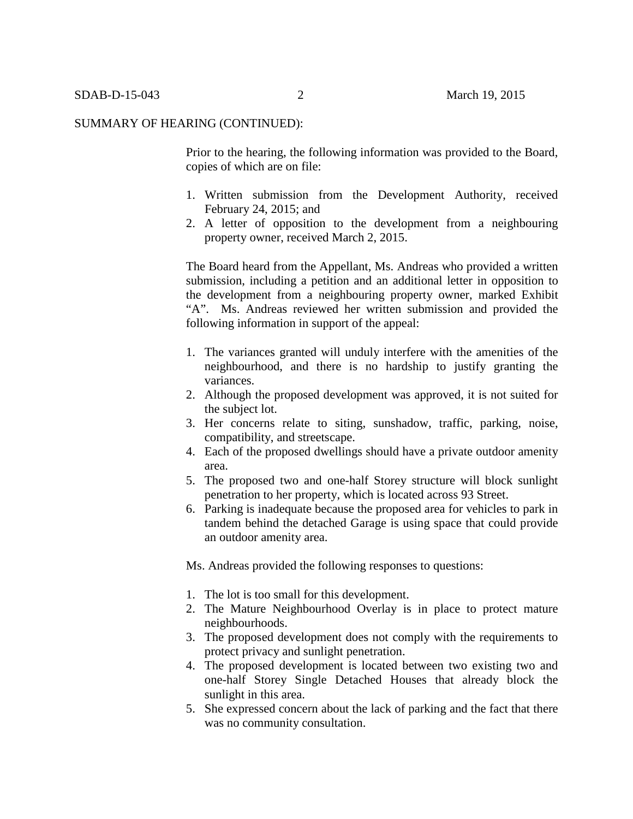Prior to the hearing, the following information was provided to the Board, copies of which are on file:

- 1. Written submission from the Development Authority, received February 24, 2015; and
- 2. A letter of opposition to the development from a neighbouring property owner, received March 2, 2015.

The Board heard from the Appellant, Ms. Andreas who provided a written submission, including a petition and an additional letter in opposition to the development from a neighbouring property owner, marked Exhibit "A". Ms. Andreas reviewed her written submission and provided the following information in support of the appeal:

- 1. The variances granted will unduly interfere with the amenities of the neighbourhood, and there is no hardship to justify granting the variances.
- 2. Although the proposed development was approved, it is not suited for the subject lot.
- 3. Her concerns relate to siting, sunshadow, traffic, parking, noise, compatibility, and streetscape.
- 4. Each of the proposed dwellings should have a private outdoor amenity area.
- 5. The proposed two and one-half Storey structure will block sunlight penetration to her property, which is located across 93 Street.
- 6. Parking is inadequate because the proposed area for vehicles to park in tandem behind the detached Garage is using space that could provide an outdoor amenity area.

Ms. Andreas provided the following responses to questions:

- 1. The lot is too small for this development.
- 2. The Mature Neighbourhood Overlay is in place to protect mature neighbourhoods.
- 3. The proposed development does not comply with the requirements to protect privacy and sunlight penetration.
- 4. The proposed development is located between two existing two and one-half Storey Single Detached Houses that already block the sunlight in this area.
- 5. She expressed concern about the lack of parking and the fact that there was no community consultation.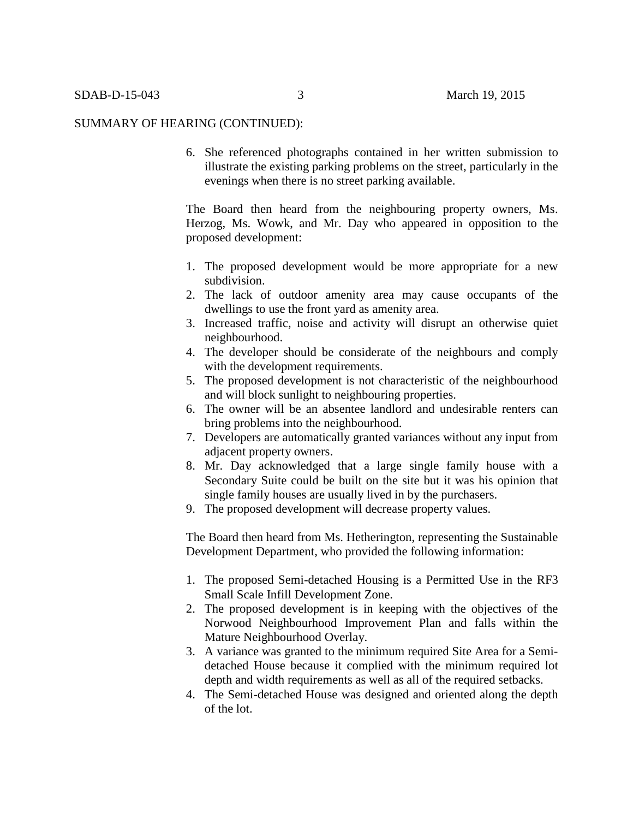6. She referenced photographs contained in her written submission to illustrate the existing parking problems on the street, particularly in the evenings when there is no street parking available.

The Board then heard from the neighbouring property owners, Ms. Herzog, Ms. Wowk, and Mr. Day who appeared in opposition to the proposed development:

- 1. The proposed development would be more appropriate for a new subdivision.
- 2. The lack of outdoor amenity area may cause occupants of the dwellings to use the front yard as amenity area.
- 3. Increased traffic, noise and activity will disrupt an otherwise quiet neighbourhood.
- 4. The developer should be considerate of the neighbours and comply with the development requirements.
- 5. The proposed development is not characteristic of the neighbourhood and will block sunlight to neighbouring properties.
- 6. The owner will be an absentee landlord and undesirable renters can bring problems into the neighbourhood.
- 7. Developers are automatically granted variances without any input from adjacent property owners.
- 8. Mr. Day acknowledged that a large single family house with a Secondary Suite could be built on the site but it was his opinion that single family houses are usually lived in by the purchasers.
- 9. The proposed development will decrease property values.

The Board then heard from Ms. Hetherington, representing the Sustainable Development Department, who provided the following information:

- 1. The proposed Semi-detached Housing is a Permitted Use in the RF3 Small Scale Infill Development Zone.
- 2. The proposed development is in keeping with the objectives of the Norwood Neighbourhood Improvement Plan and falls within the Mature Neighbourhood Overlay.
- 3. A variance was granted to the minimum required Site Area for a Semidetached House because it complied with the minimum required lot depth and width requirements as well as all of the required setbacks.
- 4. The Semi-detached House was designed and oriented along the depth of the lot.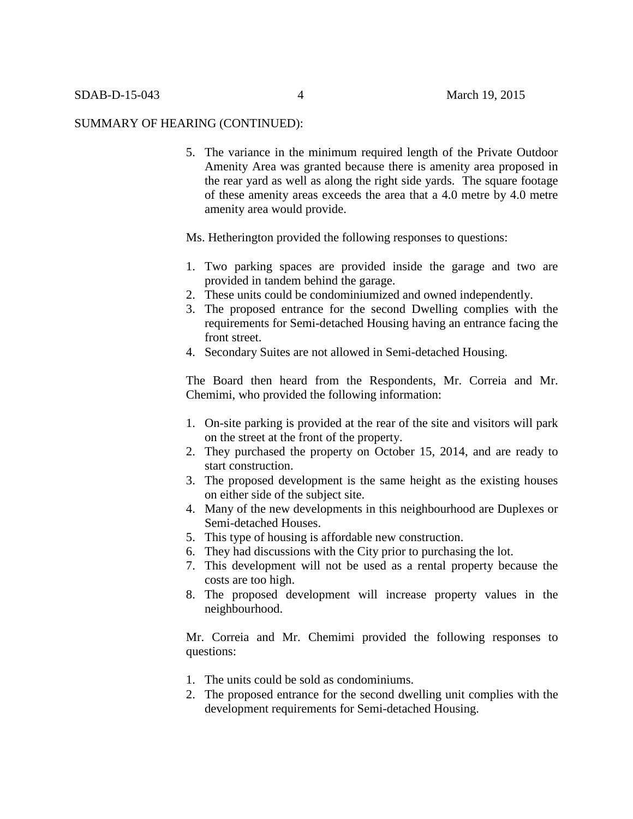5. The variance in the minimum required length of the Private Outdoor Amenity Area was granted because there is amenity area proposed in the rear yard as well as along the right side yards. The square footage of these amenity areas exceeds the area that a 4.0 metre by 4.0 metre amenity area would provide.

## Ms. Hetherington provided the following responses to questions:

- 1. Two parking spaces are provided inside the garage and two are provided in tandem behind the garage.
- 2. These units could be condominiumized and owned independently.
- 3. The proposed entrance for the second Dwelling complies with the requirements for Semi-detached Housing having an entrance facing the front street.
- 4. Secondary Suites are not allowed in Semi-detached Housing.

The Board then heard from the Respondents, Mr. Correia and Mr. Chemimi, who provided the following information:

- 1. On-site parking is provided at the rear of the site and visitors will park on the street at the front of the property.
- 2. They purchased the property on October 15, 2014, and are ready to start construction.
- 3. The proposed development is the same height as the existing houses on either side of the subject site.
- 4. Many of the new developments in this neighbourhood are Duplexes or Semi-detached Houses.
- 5. This type of housing is affordable new construction.
- 6. They had discussions with the City prior to purchasing the lot.
- 7. This development will not be used as a rental property because the costs are too high.
- 8. The proposed development will increase property values in the neighbourhood.

Mr. Correia and Mr. Chemimi provided the following responses to questions:

- 1. The units could be sold as condominiums.
- 2. The proposed entrance for the second dwelling unit complies with the development requirements for Semi-detached Housing.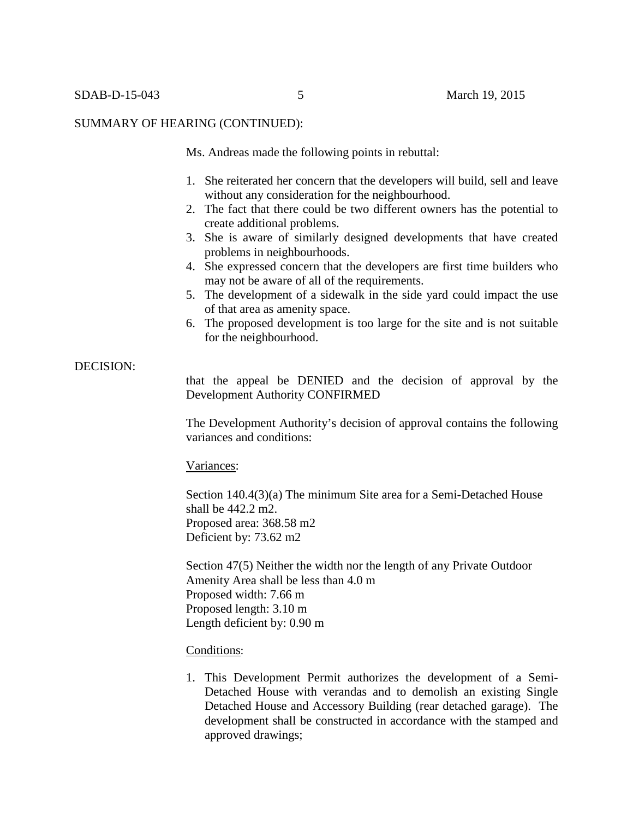Ms. Andreas made the following points in rebuttal:

- 1. She reiterated her concern that the developers will build, sell and leave without any consideration for the neighbourhood.
- 2. The fact that there could be two different owners has the potential to create additional problems.
- 3. She is aware of similarly designed developments that have created problems in neighbourhoods.
- 4. She expressed concern that the developers are first time builders who may not be aware of all of the requirements.
- 5. The development of a sidewalk in the side yard could impact the use of that area as amenity space.
- 6. The proposed development is too large for the site and is not suitable for the neighbourhood.

## DECISION:

that the appeal be DENIED and the decision of approval by the Development Authority CONFIRMED

The Development Authority's decision of approval contains the following variances and conditions:

#### Variances:

Section 140.4(3)(a) The minimum Site area for a Semi-Detached House shall be 442.2 m2. Proposed area: 368.58 m2 Deficient by: 73.62 m2

Section 47(5) Neither the width nor the length of any Private Outdoor Amenity Area shall be less than 4.0 m Proposed width: 7.66 m Proposed length: 3.10 m Length deficient by: 0.90 m

### Conditions:

1. This Development Permit authorizes the development of a Semi-Detached House with verandas and to demolish an existing Single Detached House and Accessory Building (rear detached garage). The development shall be constructed in accordance with the stamped and approved drawings;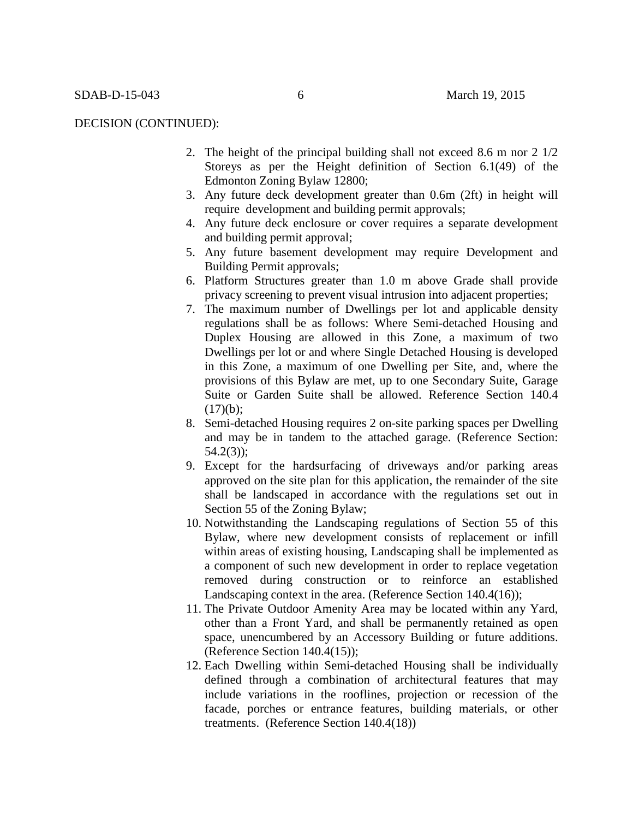#### DECISION (CONTINUED):

- 2. The height of the principal building shall not exceed 8.6 m nor 2 1/2 Storeys as per the Height definition of Section 6.1(49) of the Edmonton Zoning Bylaw 12800;
- 3. Any future deck development greater than 0.6m (2ft) in height will require development and building permit approvals;
- 4. Any future deck enclosure or cover requires a separate development and building permit approval;
- 5. Any future basement development may require Development and Building Permit approvals;
- 6. Platform Structures greater than 1.0 m above Grade shall provide privacy screening to prevent visual intrusion into adjacent properties;
- 7. The maximum number of Dwellings per lot and applicable density regulations shall be as follows: Where Semi-detached Housing and Duplex Housing are allowed in this Zone, a maximum of two Dwellings per lot or and where Single Detached Housing is developed in this Zone, a maximum of one Dwelling per Site, and, where the provisions of this Bylaw are met, up to one Secondary Suite, Garage Suite or Garden Suite shall be allowed. Reference Section 140.4  $(17)(b)$ ;
- 8. Semi-detached Housing requires 2 on-site parking spaces per Dwelling and may be in tandem to the attached garage. (Reference Section: 54.2(3));
- 9. Except for the hardsurfacing of driveways and/or parking areas approved on the site plan for this application, the remainder of the site shall be landscaped in accordance with the regulations set out in Section 55 of the Zoning Bylaw;
- 10. Notwithstanding the Landscaping regulations of Section 55 of this Bylaw, where new development consists of replacement or infill within areas of existing housing, Landscaping shall be implemented as a component of such new development in order to replace vegetation removed during construction or to reinforce an established Landscaping context in the area. (Reference Section 140.4(16));
- 11. The Private Outdoor Amenity Area may be located within any Yard, other than a Front Yard, and shall be permanently retained as open space, unencumbered by an Accessory Building or future additions. (Reference Section 140.4(15));
- 12. Each Dwelling within Semi-detached Housing shall be individually defined through a combination of architectural features that may include variations in the rooflines, projection or recession of the facade, porches or entrance features, building materials, or other treatments. (Reference Section 140.4(18))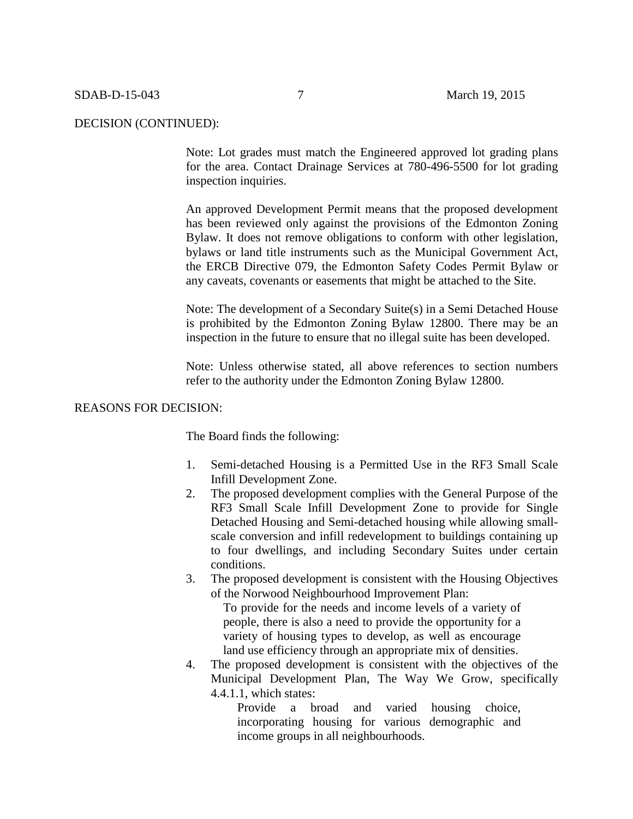#### DECISION (CONTINUED):

Note: Lot grades must match the Engineered approved lot grading plans for the area. Contact Drainage Services at 780-496-5500 for lot grading inspection inquiries.

An approved Development Permit means that the proposed development has been reviewed only against the provisions of the Edmonton Zoning Bylaw. It does not remove obligations to conform with other legislation, bylaws or land title instruments such as the Municipal Government Act, the ERCB Directive 079, the Edmonton Safety Codes Permit Bylaw or any caveats, covenants or easements that might be attached to the Site.

Note: The development of a Secondary Suite(s) in a Semi Detached House is prohibited by the Edmonton Zoning Bylaw 12800. There may be an inspection in the future to ensure that no illegal suite has been developed.

Note: Unless otherwise stated, all above references to section numbers refer to the authority under the Edmonton Zoning Bylaw 12800.

#### REASONS FOR DECISION:

The Board finds the following:

- 1. Semi-detached Housing is a Permitted Use in the RF3 Small Scale Infill Development Zone.
- 2. The proposed development complies with the General Purpose of the RF3 Small Scale Infill Development Zone to provide for Single Detached Housing and Semi-detached housing while allowing smallscale conversion and infill redevelopment to buildings containing up to four dwellings, and including Secondary Suites under certain conditions.
- 3. The proposed development is consistent with the Housing Objectives of the Norwood Neighbourhood Improvement Plan:

To provide for the needs and income levels of a variety of people, there is also a need to provide the opportunity for a variety of housing types to develop, as well as encourage land use efficiency through an appropriate mix of densities.

4. The proposed development is consistent with the objectives of the Municipal Development Plan, The Way We Grow, specifically 4.4.1.1, which states:

> Provide a broad and varied housing choice, incorporating housing for various demographic and income groups in all neighbourhoods.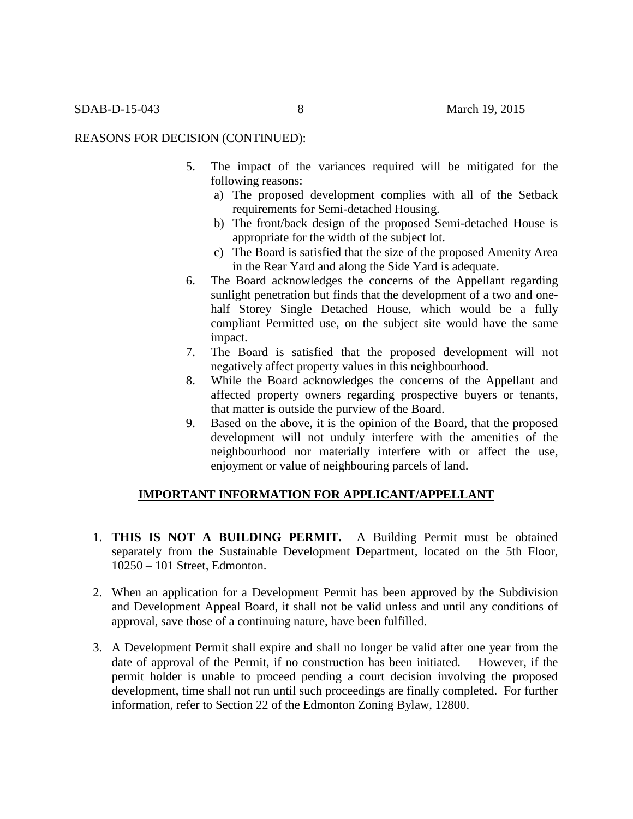# REASONS FOR DECISION (CONTINUED):

- 5. The impact of the variances required will be mitigated for the following reasons:
	- a) The proposed development complies with all of the Setback requirements for Semi-detached Housing.
	- b) The front/back design of the proposed Semi-detached House is appropriate for the width of the subject lot.
	- c) The Board is satisfied that the size of the proposed Amenity Area in the Rear Yard and along the Side Yard is adequate.
- 6. The Board acknowledges the concerns of the Appellant regarding sunlight penetration but finds that the development of a two and onehalf Storey Single Detached House, which would be a fully compliant Permitted use, on the subject site would have the same impact.
- 7. The Board is satisfied that the proposed development will not negatively affect property values in this neighbourhood.
- 8. While the Board acknowledges the concerns of the Appellant and affected property owners regarding prospective buyers or tenants, that matter is outside the purview of the Board.
- 9. Based on the above, it is the opinion of the Board, that the proposed development will not unduly interfere with the amenities of the neighbourhood nor materially interfere with or affect the use, enjoyment or value of neighbouring parcels of land.

## **IMPORTANT INFORMATION FOR APPLICANT/APPELLANT**

- 1. **THIS IS NOT A BUILDING PERMIT.** A Building Permit must be obtained separately from the Sustainable Development Department, located on the 5th Floor, 10250 – 101 Street, Edmonton.
- 2. When an application for a Development Permit has been approved by the Subdivision and Development Appeal Board, it shall not be valid unless and until any conditions of approval, save those of a continuing nature, have been fulfilled.
- 3. A Development Permit shall expire and shall no longer be valid after one year from the date of approval of the Permit, if no construction has been initiated. However, if the permit holder is unable to proceed pending a court decision involving the proposed development, time shall not run until such proceedings are finally completed. For further information, refer to Section 22 of the Edmonton Zoning Bylaw, 12800.